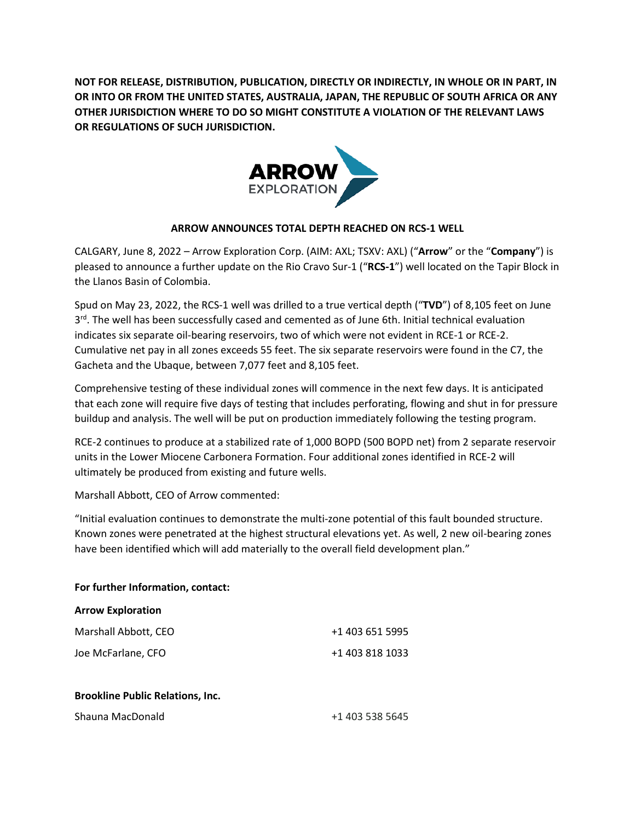**NOT FOR RELEASE, DISTRIBUTION, PUBLICATION, DIRECTLY OR INDIRECTLY, IN WHOLE OR IN PART, IN OR INTO OR FROM THE UNITED STATES, AUSTRALIA, JAPAN, THE REPUBLIC OF SOUTH AFRICA OR ANY OTHER JURISDICTION WHERE TO DO SO MIGHT CONSTITUTE A VIOLATION OF THE RELEVANT LAWS OR REGULATIONS OF SUCH JURISDICTION.**



## **ARROW ANNOUNCES TOTAL DEPTH REACHED ON RCS-1 WELL**

CALGARY, June 8, 2022 – Arrow Exploration Corp. (AIM: AXL; TSXV: AXL) ("**Arrow**" or the "**Company**") is pleased to announce a further update on the Rio Cravo Sur-1 ("**RCS-1**") well located on the Tapir Block in the Llanos Basin of Colombia.

Spud on May 23, 2022, the RCS-1 well was drilled to a true vertical depth ("**TVD**") of 8,105 feet on June 3<sup>rd</sup>. The well has been successfully cased and cemented as of June 6th. Initial technical evaluation indicates six separate oil-bearing reservoirs, two of which were not evident in RCE-1 or RCE-2. Cumulative net pay in all zones exceeds 55 feet. The six separate reservoirs were found in the C7, the Gacheta and the Ubaque, between 7,077 feet and 8,105 feet.

Comprehensive testing of these individual zones will commence in the next few days. It is anticipated that each zone will require five days of testing that includes perforating, flowing and shut in for pressure buildup and analysis. The well will be put on production immediately following the testing program.

RCE-2 continues to produce at a stabilized rate of 1,000 BOPD (500 BOPD net) from 2 separate reservoir units in the Lower Miocene Carbonera Formation. Four additional zones identified in RCE-2 will ultimately be produced from existing and future wells.

Marshall Abbott, CEO of Arrow commented:

"Initial evaluation continues to demonstrate the multi-zone potential of this fault bounded structure. Known zones were penetrated at the highest structural elevations yet. As well, 2 new oil-bearing zones have been identified which will add materially to the overall field development plan."

| For further Information, contact:       |                 |
|-----------------------------------------|-----------------|
| <b>Arrow Exploration</b>                |                 |
| Marshall Abbott, CEO                    | +1 403 651 5995 |
| Joe McFarlane, CFO                      | +1 403 818 1033 |
|                                         |                 |
| <b>Brookline Public Relations, Inc.</b> |                 |
| Shauna MacDonald                        | +1 403 538 5645 |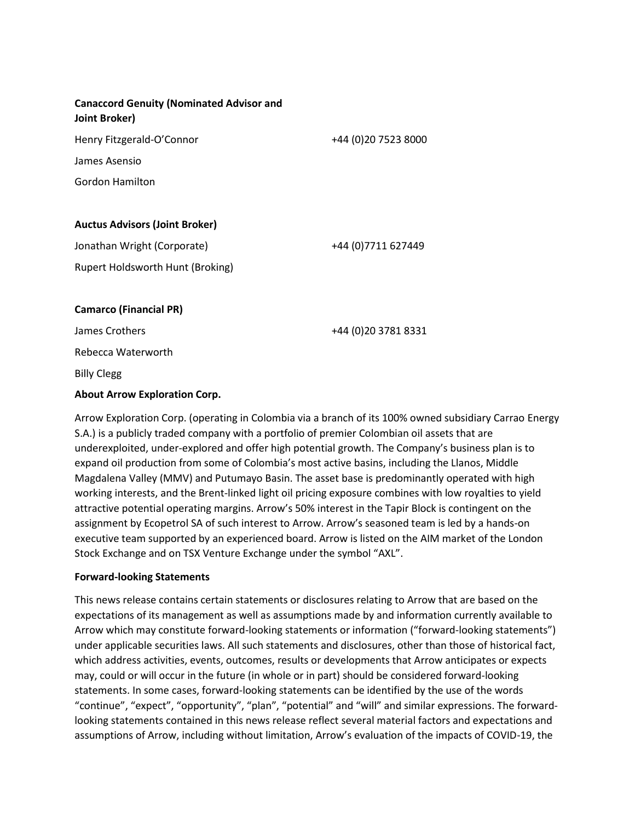| <b>Canaccord Genuity (Nominated Advisor and</b><br>Joint Broker) |                      |
|------------------------------------------------------------------|----------------------|
| Henry Fitzgerald-O'Connor                                        | +44 (0)20 7523 8000  |
| James Asensio                                                    |                      |
| <b>Gordon Hamilton</b>                                           |                      |
|                                                                  |                      |
| <b>Auctus Advisors (Joint Broker)</b>                            |                      |
| Jonathan Wright (Corporate)                                      | +44 (0) 7711 627449  |
| Rupert Holdsworth Hunt (Broking)                                 |                      |
|                                                                  |                      |
| <b>Camarco (Financial PR)</b>                                    |                      |
| James Crothers                                                   | +44 (0) 20 3781 8331 |
| Rebecca Waterworth                                               |                      |
| <b>Billy Clegg</b>                                               |                      |

## **About Arrow Exploration Corp.**

Arrow Exploration Corp. (operating in Colombia via a branch of its 100% owned subsidiary Carrao Energy S.A.) is a publicly traded company with a portfolio of premier Colombian oil assets that are underexploited, under-explored and offer high potential growth. The Company's business plan is to expand oil production from some of Colombia's most active basins, including the Llanos, Middle Magdalena Valley (MMV) and Putumayo Basin. The asset base is predominantly operated with high working interests, and the Brent-linked light oil pricing exposure combines with low royalties to yield attractive potential operating margins. Arrow's 50% interest in the Tapir Block is contingent on the assignment by Ecopetrol SA of such interest to Arrow. Arrow's seasoned team is led by a hands-on executive team supported by an experienced board. Arrow is listed on the AIM market of the London Stock Exchange and on TSX Venture Exchange under the symbol "AXL".

## **Forward-looking Statements**

This news release contains certain statements or disclosures relating to Arrow that are based on the expectations of its management as well as assumptions made by and information currently available to Arrow which may constitute forward-looking statements or information ("forward-looking statements") under applicable securities laws. All such statements and disclosures, other than those of historical fact, which address activities, events, outcomes, results or developments that Arrow anticipates or expects may, could or will occur in the future (in whole or in part) should be considered forward-looking statements. In some cases, forward-looking statements can be identified by the use of the words "continue", "expect", "opportunity", "plan", "potential" and "will" and similar expressions. The forwardlooking statements contained in this news release reflect several material factors and expectations and assumptions of Arrow, including without limitation, Arrow's evaluation of the impacts of COVID-19, the